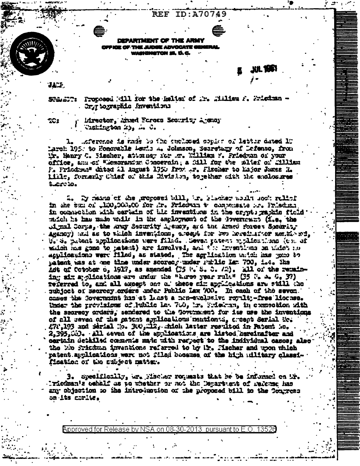**REF ID:A70749** 

DEPARTMENT OF THE ARMY **OFFICE OF THE JUDGE ADVOCATE GENERA** sninketon 25. D.C.

XIL 1451

 $32.2$ 

SUALT: Proposed All for the helter of Mr. Milian F. Wistman -. Org tographic inventions

Mrector, Anned Forces Security Agensy **Tighington 25, A. C.** 

Afference is made to the enclosed copier of latter dated 10 Larch 195. to Honorable Aswis A. Johnson, Secretary of Defenso, from ir. Henry C. Sischer, attorney for m. William W. Priedwan of your office, and of "Memorantum Concernin, a fill for the altef of .illian F. Friddra" dited al August 1750 frat in. Fischer to hajor Junes M. link, formerly Chief of Shis Division, together with the enclosures adreto.

2. By means of the morosed bill. In Stacker would sook ralief in the sun of ,100,000,000 for .k. Friedwan to compensate or. Prieduce in competion with certain of the investigate in the crypts raphic field mitch he has made walk in the employment of the Povernment (i.e. the A mal Corps, the angy Security A ency, and the Amed Porces Sacurity Agency) and as to which inventions, areapt for two horeinfact weathers, U. S. Satent applications were filled. Seven patent applications (c), of which has gone to matent) are involved, and the inventions on which no applications were filed, as stated. The agrication unich has gone to matent was at me time under scores, under Furlic Lat. 700, i.e. The Adt of Cotobor o, 1917, as amended (25 i. S. C. /2). all of the remaining six applications are under the "turse year rule" (35 % to 6, 37) referred to, and all except one of these six applications are still the subject of secrecy orders under Public Law 700. In each of the seven cases the Covernisht has at 1 ast a non-exclusive royalty-free license. Under the provisions of Public law 700, hr. Friekten, in connection with the secreor orders. sendered to the Tovernment for its use the inventions of all seven of the patent applications mutionts, arcent Serial Mo. . 472,193 and Serial No. 300, Ma, shich latter resulted in Patent Mc. 2,395, W). All seven of the applications are listed hereinafter and oertain detailed coments made with respect to the individual cases; also the wie frictun inventions referred to by ir. Hischer and won which patent applications were not filed boosuse of the high adlitary classification of the subject mather.

3. Specifically, wr. Mischer romans that he be informed on Mr. Iricdman's cehalf as to whether or not the Department of referse has any objection so the introluction of the proposed bill to the Tongress on its corlie.

Approved for Release by NSA on 08-30-2013 pursuant to E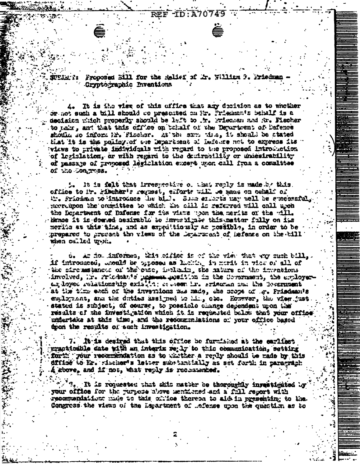**-ID:A70** 





Proposed Sill for the Relief of Ar. William 3. Priedman Cryptographic Inventions

It is the view of this effice that any decision as to whother or not such a bill should be presented on Mr. Priemants behalf is a decision which properly should be left to . To Priecken and No. Fischer to nake, and that this office on behalf of the Department of Bafence should so inform hr. Fischer. At the sum the, it should be stated that it is the policy of the Department of Defence not to express its views to private individuals with regard to the proposed introduction. of legislation, or with regard to the decirability or undestrability of passage of proposed legiclation except upon call from a committee of the Congress.

It is felt that irrespective of that reply is made by this. office to ir. Fibcher's request, efforts will be made on cehalf of the friedma to introduce the bile. Some since is nay well be successful mercupon the consistee to which the cill is referred will call upon the Department of Bafense for the views woon the merits of the will. Hence it is deened assimable to investigate this matter fully on its merits at this time, and as expectionaly as possible, in order to be prepared to present the views of the Department of Defense on the bill when called uppit.

o. An hominformed, Wis cidict is of the view that any such bill, if introduced, whould be opposed as lacking in morit in view of all of the siremstances of the ense, includer, the mature of the inventions involved, ir. Frichan's present position in the Communent, the employeran loyed relationship existing orders in. srieman and the locarment at the time each of the inventions was made, the scope of m. Frisdman's eacloment, and the duties assigned to him, obe. However, the view just. stated is subject, of course, to possible change dependent upon the results of the investigation which it is requested below that your office undertake at this time, and the recommeniations of your office based tron the results of such investigation.

It is desired that this office be furnished at the earliest practicable date with an interim re 17 to thic communication, setting forth your recommendation as to whither a reply should be made by this dffice to Er. sischer's letter substantially as set forth in paragraph A sbove, and if not, what reply is recommended.

It is requested that shit matter be theroughly investigated by your office for the purpose above mentioned and a full report with recommendation made to this chilce thereon to aid in presenting to the Congress the views of the Lapartment of ..efense upon the question as to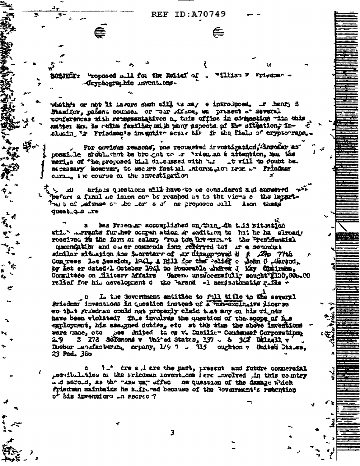**REF ID:A70749** 

**SHANDT: "roposed mill for the Relief of** "Tlian F Friedman --Gryptographic inventions.

whather or not it havers such cill as may e introduced. It henry S Stauffer, patent counsel or moir office, we present at several conferences with retresentatives o. this office in compection with this satten änd is ruite familiar migh many aspects of the sfigation, inclusing in Friedman's inegutive active at the field of cryptorrapa.

For covious reasons, pne requested irvestigation inmodar as possible should that be biought to an arien an a stemtion, non the meriss of the proposed bill discussed with his at will to doubt be. necessary however, to see me factual information from an Friedman curing the course of the investigation

arious questions will have to be considered aid answered will - 10 before a final we ision car be reached as to the views o the Repart-Theit of leftnse on the ler s of he proposed bill Amon these duest Q.S .re

has Friedman accomplished an thin din this rituation while a regular further compensation in addition to hat he has already received in the form or salary 'ros too the erran the Presidential comendation and ower commenda ions referred to? Ir a somowint similar situation the Sucretary of Ar disapproved H & Asp 77th Congress let Session, 1041, A Bill for the Palier o Down C Martin by let ar dated 1 October 1941 to Honorable shdrew J Kay Chairman, Committee on tilitary Affairs (Gareno unsweedsfull sought 2100.000.00 relief for his aevelopment o the larand -1 semisstomatic ritle +

L. the Government entitles to full title to the several  $\mathbf{D}$ Prisden inventions in question instead of a nun-exclusive licerse es that griedran could not properly claim that any on his gights have been violated? This involves the question of the scope of his eggloyment, his assigned duties, etc at the time the above inventions were made, etc see inited ta es v. Dubilier Condenser Corporation; Dueber Landfacturing creany, 1/9 7 - 315 oughton v United States. 23 Ped. 380

7. tre a, d are the past, present and future commercial possibilities of the Pricaman Inventions Perc Involved in this country and acroud, as the sum way affect ne question of the damage which Priedman maintains he sultured because of the Povernment's retention o<sup>r</sup> his inventiors in secrec ?

3